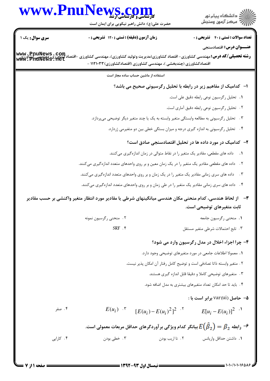## www.PnuNews.com



حضرت علی(ع): دانش راهبر نیکویی برای ایمان است

| <b>سری سوال :</b> یک ۱                                                                                     | زمان آزمون (دقیقه) : تستی : ۱۲۰ تشریحی : ۰                                                                                                                                   |                                                                                | <b>تعداد سوالات : تستی : 40 - تشریحی : 0</b>                      |  |  |
|------------------------------------------------------------------------------------------------------------|------------------------------------------------------------------------------------------------------------------------------------------------------------------------------|--------------------------------------------------------------------------------|-------------------------------------------------------------------|--|--|
|                                                                                                            |                                                                                                                                                                              |                                                                                | <b>عنـــوان درس:</b> اقتصادسنجي                                   |  |  |
| www.PnuNews.com<br> www.PnuNews.net                                                                        | <b>رشته تحصیلی/کد درس:</b> مهندسی کشاورزی- اقتصاد کشاورزی(مدیریت وتولید کشاورزی)، مهندسی کشاورزی -اقتص<br>اقتصادکشاورزی (چندبخشی )، مهندسی کشاورزی (اقتصادکشاورزی) ۱۱۲۱۰۳۳ - |                                                                                |                                                                   |  |  |
|                                                                                                            | استفاده از ماشین حساب ساده مجاز است                                                                                                                                          |                                                                                |                                                                   |  |  |
|                                                                                                            |                                                                                                                                                                              |                                                                                | ا-۔ کدامیک از مفاهیم زیر در رابطه با تحلیل رگرسیونی صحیح می باشد؟ |  |  |
|                                                                                                            |                                                                                                                                                                              |                                                                                | ٠١ تحليل ركرسيون نوعي رابطه دقيق على است.                         |  |  |
|                                                                                                            |                                                                                                                                                                              |                                                                                | ۰۲ تحلیل رگرسیون نوعی رابطه دقیق آماری است.                       |  |  |
|                                                                                                            | ۳.    تحلیل رگرسیونی به مطالعه وابستگی متغیر وابسته به یک یا چند متغیر دیگر توضیحی میپردازد.                                                                                 |                                                                                |                                                                   |  |  |
|                                                                                                            |                                                                                                                                                                              | ۰۴ تحلیل رگرسیونی به اندازه گیری درجه و میزان بستگی خطی بین دو متغیرمی ژردارد. |                                                                   |  |  |
|                                                                                                            |                                                                                                                                                                              |                                                                                | ۲- کدامیک در مورد داده ها در تحلیل اقتصادسنجی صادق است؟           |  |  |
| داده های مقطعی، مقادیر یک متغیر را در نقاط متوالی در زمان اندازهگیری میکنند.<br>$\overline{\phantom{a}}$ . |                                                                                                                                                                              |                                                                                |                                                                   |  |  |
| ۲ . داده های مقطعی مقادیر یک متغیر را در یک زمان معین و بر روی واحدهای متعدد اندازهگیری میکنند.            |                                                                                                                                                                              |                                                                                |                                                                   |  |  |
|                                                                                                            | داده های سری زمانی مقادیر یک متغیر را در یک زمان و بر روی واحدهای متعدد اندازهگیری میکنند.                                                                                   |                                                                                | $\cdot$ $\mathsf{r}$                                              |  |  |
|                                                                                                            | ۰۴ داده های سری زمانی مقادیر یک متغیر را در طی زمان و بر روی واحدهای متعدد اندازهگیری میکنند.                                                                                |                                                                                |                                                                   |  |  |
|                                                                                                            | از لحاظ هندسی، کدام منحنی مکان هندسی میانگینهای شرطی یا مقادیر مورد انتظار متغیر واکنشی بر حسب مقادیر                                                                        |                                                                                |                                                                   |  |  |
|                                                                                                            |                                                                                                                                                                              |                                                                                | ثابت متغیرهای توضیحی است.                                         |  |  |
|                                                                                                            | ۲. منحنی رگرسیون نمونه                                                                                                                                                       |                                                                                | 1. منحني رگرسيون جامعه                                            |  |  |
|                                                                                                            | SRF . ۴                                                                                                                                                                      |                                                                                | ۰۳ تابع احتمالات شرطي متغير مستقل                                 |  |  |
|                                                                                                            |                                                                                                                                                                              |                                                                                | ۴- چرا اجزاء اخلال در مدل رگرسیون وارد می شود؟                    |  |  |
|                                                                                                            |                                                                                                                                                                              | 1. معمولا اطلاعات جامعي در مورد متغيرهاي توضيحي وجود دارد.                     |                                                                   |  |  |
|                                                                                                            |                                                                                                                                                                              | ٢ . متغير وابسته ذاتا تصادفي است و توضيح كامل رفتار آن امكان پذير نيست.        |                                                                   |  |  |
|                                                                                                            |                                                                                                                                                                              | ۰۳ متغیرهای توضیحی کاملا و دقیقا قابل اندازه گیری هستند.                       |                                                                   |  |  |
|                                                                                                            |                                                                                                                                                                              | ۴ . باید تا حد امکان تعداد متغیرهای بیشتری به مدل اضافه شود.                   |                                                                   |  |  |
|                                                                                                            |                                                                                                                                                                              |                                                                                | <b>۵- حاصل (var(ui برابر است با :</b>                             |  |  |
| ۰۴ صفر                                                                                                     | $E(u_i)$ $\mathcal{F}$                                                                                                                                                       | $[E(u_i) - E(u_i)^2]^2$ <sup>. *</sup>                                         | $E[u_i - E(u_i)]^2$ <sup></sup>                                   |  |  |
|                                                                                                            | رابطه $\beta_2=\beta_2$ بیانگر کدام ویژگی بر آوردگرهای حداقل مربعات معمولی است. $\epsilon(\hat\beta_2)=\beta_2$                                                              |                                                                                |                                                                   |  |  |
| ۰۴ کارایی                                                                                                  | ۰۳ خطي بودن                                                                                                                                                                  | ۰۲ نا اريب بودن                                                                | ٠١. داشتن حداقل واريانس                                           |  |  |
|                                                                                                            |                                                                                                                                                                              |                                                                                |                                                                   |  |  |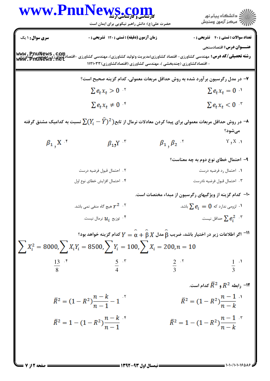:( ) - كارشناسي و كارشناسي ارشد عنــوان درس رشته تحصيلي/كد درس تعداد سوالات : تستي تشريحي زمان آزمون (دقيقه) : تستي تشريحي سري سوال !"# % \$ ': \$(': ' &': : : : : )\*+, - ./ ,)\*+,!"#0 )\*+, - ./ ,()\*+, -12\* 
-/))\*+, !"# 0)\*+, - ./ \$\$(\$'66()\*+,!"#) )\*+, - ./ ,( +4- 5) )\*+,!"# 0 7
 9:; > Y< P-C Q1`/ `/ =#- g\* > E-8 \*a < U-/ 7 2 \$ 4 3 - . . . . >"k< l"+/ B/-C > 
G h2 ) U/ i`/ C -j 1`/ `/ =#- g\* 78 / Y ) X ) ) 8 4 3 2 \$ - . . . . 7
 `/ >5 > P\* ?W U" -  G KS K<#: -  G K<#: K) T 
. U!/G K<#: -  G KS K<#: 9 2 \$ 4 3 - . . . . .
 !"4/ X-/ ) < .<b\* ) > Y< P-C .\$= < M% 1 V 9 .\$= 5 \$ )/+ .( K @! .( \$: 10 2 \$ 4 3 - . . . . 7 -W > Y< P-C U-/ KS Q-8 "W ) VN < 3 1 3 2 4 5 8 13 11 4 3 2 \$ - . . . . .
 P-C \* >? 12 2 \$ 4 3 - . . . . **[www.PnuNews.com](http://www.PnuNews.com) [www.PnuNews.com](http://pnunews.com) [www.PnuNews.net](http://pnunews.net)**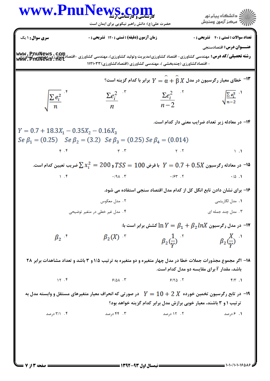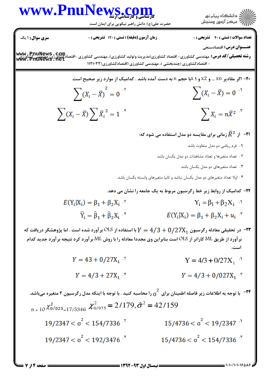

www.PnuNews.con

**تعداد سوالات : تستی : 40 - تشریحی : 0** 

زمان آزمون (دقیقه) : تستی : ۱۲۰ تشریحی : ۰

حضرت علی(ع): دانش راهبر نیکویی برای ایمان است

**سری سوال : ۱ یک** 

صفحه 14; 7

عنـــوان درس: اقتصادسنجي

**www , PnuNews , Com**<br>**رشته تحصیلی/کد درس:** مهندسی کشاورزی- اقتصاد کشاورزی(مدیریت وتولید کشاورزی)، مهندسی کشاورزی -اقتصادکشاورزی، مهندیس<br>**www . PriuNews . Net** - اقتصادکشاورزی (چندبخشی )، مهندسی کشاورزی (اقتصادکشاورزی) ۱۱۲۱۰۳۳

**۲۰**- اگر مقادیر xn … و 2x و 1 xبا حجم n به دست آمده باشد . کدامیک از موارد زیر صحیح است.

 $\sum (X_i - \bar{X})^2 = 0$  $\sum (X_i - \bar{X}) = 0$  $\sum (X_i - \bar{X}) \sum \bar{X}_i^2 = 1$  $\sum_{i=1}^{n} X_i = n \overline{X}^2$ 

او جو آن نانی برای مقایسه دو مدل استفاده می شود که: F

- **1.** فرم ریاضی دو مدل متفاوت باشد.
- ۲ . اتعداد متغیرها و تعداد مشاهدات دو مدل یکسان باشد.
	- ۰۳ تعداد متغیرهای دو مدل یکسان باشد.
- ۴ . اولا تعداد متغيرهاي دو مدل يكسان نباشد و ثانيا متغيرهاي وابسته يكسان باشد.
- ۲۲- کدامیک از روابط زیر خط رگرسیون مربوط به یک جامعه را نشان می دهد.
- $Y_i = \beta_1 + \beta_2 X_i$  ·  $E(Y_i|X_i) = \beta_1 + \beta_2 X_i$  $\hat{Y}_i = \hat{\beta}_1 + \hat{\beta}_2 X_i$  $E(Y_i|X_i) = \beta_1 + \beta_2 X_i + u_i$

در تحقیقی معادله رگرسیون  $7\textrm{X}_1$ 0/27 + 2/3 با استفاده از OLS بر آورد شده است . اما پژوهشگر دریافت که  $-$ ۳ برآورد از طریق ML کاراتر از OLS است بنابراین وی مجددا معادله را با روش ML برآورد کرد نتیجه برآورد جدید کدام است

- $Y = 43 + 0/27X_1$  $Y = 4/3 + 0/27X$ , <sup>1</sup>
- $Y = 4/3 + 27X_1$  $Y = 4/3 + 0/027X$ ,  $Y = 4/3 + 0/027X$

ے<br>۲۴− با توجه به اطلاعات زیر فاصله اطمینان برای  $\frac{2}{\sigma}$  را محاسبه کنید . با توجه با اینکه مدل رگرسیون ۲ متغیره میباشد.  $r_{\text{n}} = 10 \frac{\chi^2_{0/0.25}}{\chi^2_{0/0.25}} = 1775346 \frac{\chi^2_{0/975}}{\chi^2_{0/975}} = 2/179, \hat{\sigma}^2 = 42/159$  $19/2347 < \sigma^2 < 154/7336$  $15/4736 < \sigma^2 < 19/2347$ <sup>.1</sup>  $15/4736 < \sigma^2 < 154/7336$  $19/2347 < \sigma^2 < 192/3476$ <sup>\*</sup>

 $= 1.1.11.150AB$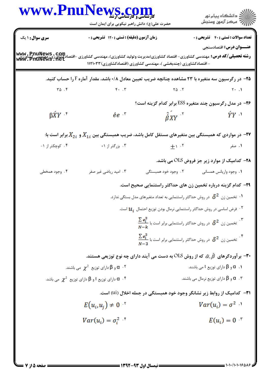| www.PnuNews.com                                                                                                                                          | حضرت علی(ع): دانش راهبر نیکویی برای ایمان است                     |                                                                                                                                | ر دانشگاه پيام نور<br>د مرکز آزمون وسنجش                                                                          |
|----------------------------------------------------------------------------------------------------------------------------------------------------------|-------------------------------------------------------------------|--------------------------------------------------------------------------------------------------------------------------------|-------------------------------------------------------------------------------------------------------------------|
| <b>سری سوال : ۱ یک</b>                                                                                                                                   | زمان آزمون (دقیقه) : تستی : ۱۲۰ تشریحی : ۰                        |                                                                                                                                | <b>تعداد سوالات : تستي : 40 - تشريحي : 0</b>                                                                      |
| <b>رشته تحصیلی/کد درس:</b> مهندسی کشاورزی- اقتصاد کشاورزی(مدیریت وتولید کشاورزی)، مهندسی کشاورزی -اقتصادکشاورزی، مهندسی کشاورزی<br>WWW . PriuNews . 11et |                                                                   | - اقتصادکشاورزی (چندبخشی )، مهندسی کشاورزی (اقتصادکشاورزی) ۱۱۲۱۰۳۳                                                             | <b>عنـــوان درس:</b> اقتصادسنجي                                                                                   |
|                                                                                                                                                          |                                                                   |                                                                                                                                | <b>۲۵</b> – در رگرسیون سه متغیره با ۲۳ مشاهده چنانچه ضریب تعیین معادل ۰/۸ باشد، مقدار آماره F را حساب کنید.       |
| $\Gamma \Delta$ .                                                                                                                                        | $F - T$                                                           | $Y \triangle$ . $Y$                                                                                                            | $Y \cdot \cdot \cdot$                                                                                             |
|                                                                                                                                                          |                                                                   |                                                                                                                                | <b>۲۶</b> - در مدل رگرسیون چند متغیره ESS برابر کدام گزینه است؟                                                   |
| $\beta \hat{X} Y$ <sup>*</sup>                                                                                                                           | $ee$ $\ddot{\phantom{a}}$                                         | $\hat{\beta}XY$                                                                                                                | $\hat{Y}Y$                                                                                                        |
|                                                                                                                                                          |                                                                   |                                                                                                                                | در مواردی که همبستگی بین متغیرهای مستقل کامل باشد، ضریب همبستگی بین $X_{1\, i}$ و $X_{2\, i}$ برابر است با: "     |
| ۰۴ کوچکتر از ۱-                                                                                                                                          | ۰۳ بزرگتر از ۱+                                                   |                                                                                                                                | ۰۱ صفر                                                                                                            |
|                                                                                                                                                          |                                                                   |                                                                                                                                | <b>۳۸</b> - کدامیک از موارد زیر جز فروض OLS می باشد.                                                              |
| ۰۴ وجود همخطی                                                                                                                                            | ۰۳ امید ریاضی غیر صفر                                             | ۲. وجود خود همبستگی                                                                                                            | ٠١. وجود واريانس همساني                                                                                           |
|                                                                                                                                                          |                                                                   |                                                                                                                                | ۲۹– کدام گزینه درباره تخمین زن های حداکثر راستنمایی صحیح است.                                                     |
|                                                                                                                                                          |                                                                   | $\cdot$ تخمین زن $\delta^2$ در روش حداکثر راستنمایی به تعداد متغیرهای مدل بستگی ندارد.                                         |                                                                                                                   |
|                                                                                                                                                          |                                                                   | ${\boldsymbol{\mathcal{U}}}_i$ فرض اساسی در روش حداکثر راستنمایی نرمال بودن توزیع احتمال ${\boldsymbol{\mathcal{U}}}_i$ است. ' |                                                                                                                   |
|                                                                                                                                                          |                                                                   | $\frac{\sum e_i^2}{N-k}$ تخمین زن $\delta^2$ در روش حداکثر راستنمایی برابر است با $\frac{N-k}{N}$                              |                                                                                                                   |
|                                                                                                                                                          |                                                                   | $\frac{\sum e_i^2}{N-3}$ تخمین زن $\delta^2$ در روش حداکثر راستنمایی برابر است با $\frac{\sum e_i^2}{N-3}$                     |                                                                                                                   |
|                                                                                                                                                          |                                                                   |                                                                                                                                | بر آوردگرهای $\,\hat{\alpha},\hat{\beta}\,\,$ که از روش OLS به دست می آیند دارای چه نوع توزیعی هستند. $-$ ۳۰ $\,$ |
|                                                                                                                                                          | و $\beta$ دارای توزیع $\chi^2$ می باشند. $\alpha$ ۰۲              |                                                                                                                                | $\beta$ و $\beta$ دارای توزیع t می باشند. $\alpha$                                                                |
|                                                                                                                                                          | دارای توزیع t و $\beta$ دارای توزیع $\chi^2$ می باشد. $\alpha$ ۰۴ |                                                                                                                                | و $\beta$ دارای توزیع نرمال می باشند. $\alpha$ $\cdot$ ۳                                                          |
|                                                                                                                                                          |                                                                   | ۳۱–  کدامیک از روابط زیر نشانگر وجود خود همبستگی در جمله اخلال (ui) است.                                                       |                                                                                                                   |
|                                                                                                                                                          | $E(u_i, u_i) \neq 0$                                              |                                                                                                                                | $Var(u_i) = \sigma^2$                                                                                             |
|                                                                                                                                                          | $Var(u_i) = \sigma_i^2$                                           |                                                                                                                                | $E(u_i) = 0$ *                                                                                                    |
|                                                                                                                                                          |                                                                   |                                                                                                                                |                                                                                                                   |
|                                                                                                                                                          |                                                                   |                                                                                                                                |                                                                                                                   |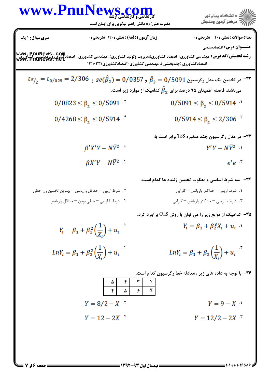| WWW.                                                                                                                                                                                                                                                                                                                                                                                                                                                                                                                                                                                                                                                                                                                                                                                                                                                                                                                                                                                                                                                                                 | Pnull | CU <sub>2</sub> , C <sub>2</sub> , C <sub>3</sub> , D <sub>4</sub> |
|--------------------------------------------------------------------------------------------------------------------------------------------------------------------------------------------------------------------------------------------------------------------------------------------------------------------------------------------------------------------------------------------------------------------------------------------------------------------------------------------------------------------------------------------------------------------------------------------------------------------------------------------------------------------------------------------------------------------------------------------------------------------------------------------------------------------------------------------------------------------------------------------------------------------------------------------------------------------------------------------------------------------------------------------------------------------------------------|-------|--------------------------------------------------------------------|
| \n $\sum_{i=1}^{n} \sum_{j=1}^{n} \sum_{j=1}^{n} \sum_{j=1}^{n} \sum_{j=1}^{n} \sum_{j=1}^{n} \sum_{j=1}^{n} \sum_{j=1}^{n} \sum_{j=1}^{n} \sum_{j=1}^{n} \sum_{j=1}^{n} \sum_{j=1}^{n} \sum_{j=1}^{n} \sum_{j=1}^{n} \sum_{j=1}^{n} \sum_{j=1}^{n} \sum_{j=1}^{n} \sum_{j=1}^{n} \sum_{j=1}^{n} \sum_{j=1}^{n} \sum_{j=1}^{n} \sum_{j=1}^{n} \sum_{j=1}^{n} \sum_{j=1}^{n} \sum_{j=1}^{n} \sum_{j=1}^{n} \sum_{j=1}^{n} \sum_{j=1}^{n} \sum_{j=1}^{n} \sum_{j=1}^{n} \sum_{j=1}^{n} \sum_{j=1}^{n} \sum_{j=1}^{n} \sum_{j=1}^{n} \sum_{j=1}^{n} \sum_{j=1}^{n} \sum_{j=1}^{n} \sum_{j=1}^{n} \sum_{j=1}^{n} \sum_{j=1}^{n} \sum_{j=1}^{n} \sum_{j=1}^{n} \sum_{j=1}^{n} \sum_{j=1}^{n} \sum_{j=1}^{n} \sum_{j=1}^{n} \sum_{j=1}^{n} \sum_{j=1}^{n} \sum_{j=1}^{n} \sum_{j=1}^{n} \sum_{j=1}^{n} \sum_{j=1}^{n} \sum_{j=1}^{n} \sum_{j=1}^{n} \sum_{j=1}^{n} \sum_{j=1}^{n} \sum_{j=1}^{n} \sum_{j=1}^{n} \sum_{j=1}^{n} \sum_{j=1}^{n} \sum_{j=1}^{n} \sum_{j=1}^{n} \sum_{j=1}^{n} \sum_{j=1}^{n} \sum_{j=1}^{n} \sum_{j=1}^{n} \sum_{j=1}^{n} \sum_{j=1}^{n} \sum_{j=1}^{n} \sum$ |       |                                                                    |

 $= 1.1.11.15015$ 

**: صفحه ۱۶ز 7 =**